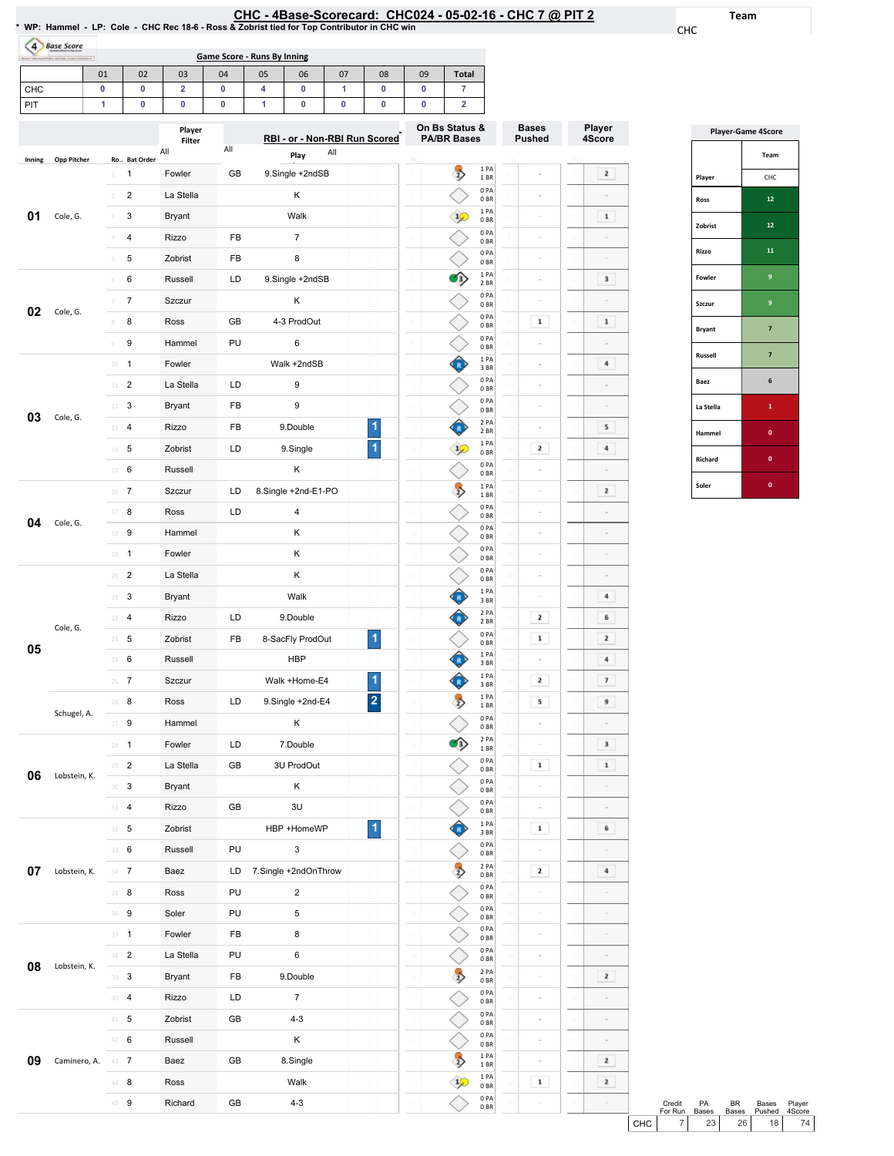| HC - 4Base-Scorecard: CHC024 - 05-02-16 - CHC 7 @ PIT 2 |  |  |
|---------------------------------------------------------|--|--|
|---------------------------------------------------------|--|--|

0PA 0BR 0PA 0BR 2PA 0BR 0PA 0BR 0PA 0BR 0PA 0BR  $\begin{array}{c} 1 \text{ PA} \\ 1 \text{ BR} \end{array}$  $\begin{array}{c} 1 \ \text{PA} \ 0 \ \text{BR} \end{array}$ 0PA 0BR

◇ ◇

 $\overrightarrow{v}$ 

 $\Diamond$ 

 $\Diamond$ 

 $\overline{\diamondsuit}$ 

 $\hat{P}$ 

 $\Diamond$ 

 $\sim$ 

 $\sim$ 

 $\sim$ 

 $\sim$ 

 $\sim$ 

 $\mathbf 1$ 

 $\epsilon$ 

Team

CHC

Player 4Score

 $\boxed{2}$ 

 $\begin{array}{|c|} \hline \textbf{1} \end{array}$  $\alpha$  $\sim$  $\mathbf{3}^ \sim$  $\boxed{\phantom{1}1}$ 

 $\blacksquare$  <br> 4  $\overline{\phantom{a}}$  $\sim$  $\,$  5  $\,$  $\begin{array}{|c|} \hline \end{array}$  4

 $\overline{\mathbf{2}}$  $\overline{\phantom{a}}$  $\sim$  $\sim$  $\sim$  $\overline{4}$  $\overline{\phantom{a}}$  6  $\overline{\phantom{a}2}$  $\boxed{4}$  $\overline{\mathbf{z}}$  $9$  $\overline{\phantom{a}}$  $\begin{array}{|c|c|} \hline \textbf{3} & \textbf{1} \\ \hline \end{array}$  $\begin{array}{|c|} \hline \textbf{1} \end{array}$ 

 $\sim$  $\,$  6  $\,$ 

 $\blacksquare$ 

 $\sim$ 

 $\overline{2}$ 

 $\sim$ 

 $\sim$ 

 $\sim$ 

 $\overline{\mathbf{2}}$ 

 $\overline{\phantom{a}2}$ 

 $\sim$ 

|                |                    |                |                         | * WP: Hammel - LP: Cole - CHC Rec 18-6 - Ross & Zobrist tied for Top Contributor in CHC win |        |                             |                               |        |                         |        |                                           |                         | CHC - 4Base-Scorecard: CHC024 - 05-02-16 - CHC 7 @ PIT 2 |                                                                                                                                                                                                                                                                                                                                                                                                                         |
|----------------|--------------------|----------------|-------------------------|---------------------------------------------------------------------------------------------|--------|-----------------------------|-------------------------------|--------|-------------------------|--------|-------------------------------------------|-------------------------|----------------------------------------------------------|-------------------------------------------------------------------------------------------------------------------------------------------------------------------------------------------------------------------------------------------------------------------------------------------------------------------------------------------------------------------------------------------------------------------------|
| $\overline{4}$ | <b>Base Score</b>  |                |                         |                                                                                             |        | Game Score - Runs By Inning |                               |        |                         |        |                                           |                         |                                                          |                                                                                                                                                                                                                                                                                                                                                                                                                         |
|                |                    | 01             | 02                      | 03                                                                                          | 04     | 05                          | 06                            | 07     | 08                      | 09     | <b>Total</b>                              |                         |                                                          |                                                                                                                                                                                                                                                                                                                                                                                                                         |
| CHC<br>PIT     |                    | 0<br>1         | 0<br>0                  | 2<br>0                                                                                      | 0<br>0 | 4<br>1                      | 0<br>0                        | 1<br>0 | 0<br>0                  | 0<br>0 | $\overline{7}$<br>$\overline{\mathbf{2}}$ |                         |                                                          |                                                                                                                                                                                                                                                                                                                                                                                                                         |
|                |                    |                |                         | Player<br>Filter                                                                            |        |                             | RBI - or - Non-RBI Run Scored |        |                         |        | On Bs Status &<br><b>PA/BR Bases</b>      |                         | <b>Bases</b><br><b>Pushed</b>                            | Player<br>4Scor                                                                                                                                                                                                                                                                                                                                                                                                         |
| Inning         | <b>Opp Pitcher</b> |                | Ro Bat Order            | All                                                                                         | All    |                             | Play                          | All    |                         |        |                                           |                         |                                                          |                                                                                                                                                                                                                                                                                                                                                                                                                         |
|                |                    | 1              | 1                       | Fowler                                                                                      | GB     |                             | 9.Single +2ndSB               |        |                         |        | $\Rightarrow$                             | 1 PA<br>1 BR            |                                                          | $\mathbf{2}% =\mathbf{2}+\mathbf{2}+\mathbf{3}+\mathbf{4}+\mathbf{5}+\mathbf{5}+\mathbf{5}+\mathbf{6}+\mathbf{6}+\mathbf{6}+\mathbf{5}+\mathbf{5}+\mathbf{6}+\mathbf{6}+\mathbf{5}+\mathbf{6}+\mathbf{6}+\mathbf{5}+\mathbf{6}+\mathbf{6}+\mathbf{6}+\mathbf{6}+\mathbf{6}+\mathbf{6}+\mathbf{6}+\mathbf{6}+\mathbf{6}+\mathbf{6}+\mathbf{6}+\mathbf{6}+\mathbf{6}+\mathbf{6}+\mathbf{6}+\mathbf{6}+\mathbf{6}+\mathbf$ |
|                |                    | $\overline{2}$ | $\overline{\mathbf{c}}$ | La Stella                                                                                   |        |                             | Κ                             |        |                         |        |                                           | 0PA<br>0BR              | ö                                                        |                                                                                                                                                                                                                                                                                                                                                                                                                         |
| 01             | Cole, G.           | 3              | 3                       | Bryant                                                                                      |        |                             | Walk                          |        |                         |        | $1/$                                      | 1PA<br>0BR              | ö                                                        | $\mathbf 1$                                                                                                                                                                                                                                                                                                                                                                                                             |
|                |                    |                | 4                       | Rizzo                                                                                       | FB     |                             | $\overline{7}$                |        |                         |        |                                           | 0PA<br>0 <sub>BR</sub>  |                                                          |                                                                                                                                                                                                                                                                                                                                                                                                                         |
|                |                    | 5              | 5                       | Zobrist                                                                                     | FB     |                             | 8                             |        |                         |        |                                           | 0PA<br>0 <sub>BR</sub>  | $\equiv$                                                 |                                                                                                                                                                                                                                                                                                                                                                                                                         |
|                |                    | 6              | 6                       | Russell                                                                                     | LD     |                             | 9.Single +2ndSB               |        |                         |        | Θ                                         | 1PA<br>2 BR             | $\equiv$                                                 | 3                                                                                                                                                                                                                                                                                                                                                                                                                       |
| 02             | Cole, G.           |                | $\overline{7}$          | Szczur                                                                                      |        |                             | Κ                             |        |                         |        |                                           | 0PA<br>0 <sub>BR</sub>  |                                                          |                                                                                                                                                                                                                                                                                                                                                                                                                         |
|                |                    | 8              | 8                       | Ross                                                                                        | GB     |                             | 4-3 ProdOut                   |        |                         |        |                                           | 0PA<br>0 <sub>BR</sub>  | $\mathbf 1$                                              | $\mathbf 1$                                                                                                                                                                                                                                                                                                                                                                                                             |
|                |                    | 9              | 9                       | Hammel                                                                                      | PU     |                             | 6                             |        |                         |        |                                           | 0PA<br>0BR              | ö                                                        |                                                                                                                                                                                                                                                                                                                                                                                                                         |
|                |                    | 10             | $\overline{1}$          | Fowler                                                                                      |        |                             | Walk +2ndSB                   |        |                         |        |                                           | 1 PA<br>3 BR            | ò                                                        | 4                                                                                                                                                                                                                                                                                                                                                                                                                       |
|                |                    |                | $11$ – $2$              | La Stella                                                                                   | LD     |                             | 9                             |        |                         |        |                                           | 0PA<br>0 <sub>BR</sub>  | $\overline{a}$                                           |                                                                                                                                                                                                                                                                                                                                                                                                                         |
| 03             | Cole, G.           | 12             | 3                       | Bryant                                                                                      | FB     |                             | 9                             |        |                         |        |                                           | 0PA<br>0 <sub>BR</sub>  | $\overline{a}$                                           |                                                                                                                                                                                                                                                                                                                                                                                                                         |
|                |                    | 13             | 4                       | Rizzo                                                                                       | FB     |                             | 9.Double                      |        | 1                       |        |                                           | 2 PA<br>2 BR            | ö                                                        | 5                                                                                                                                                                                                                                                                                                                                                                                                                       |
|                |                    | 14             | 5                       | Zobrist                                                                                     | LD     |                             | 9.Single                      |        | 1                       |        | $\mathcal{P}$                             | 1 PA<br>0BR             | $\mathbf{z}$                                             | 4                                                                                                                                                                                                                                                                                                                                                                                                                       |
|                |                    | 15             | 6                       | Russell                                                                                     |        |                             | κ                             |        |                         |        |                                           | 0PA<br>0BR              |                                                          |                                                                                                                                                                                                                                                                                                                                                                                                                         |
|                |                    |                | $16$ 7                  | Szczur                                                                                      | LD     |                             | 8.Single +2nd-E1-PO           |        |                         |        | $\overline{z}$                            | 1 PA<br>1 BR            | $\overline{a}$                                           | $\mathbf{2}% =\mathbf{2}+\mathbf{2}+\mathbf{3}+\mathbf{5}+\mathbf{5}+\mathbf{5}+\mathbf{6}+\mathbf{6}+\mathbf{5}+\mathbf{6}+\mathbf{6}+\mathbf{5}+\mathbf{5}+\mathbf{6}+\mathbf{6}+\mathbf{5}+\mathbf{5}+\mathbf{6}+\mathbf{6}+\mathbf{6}+\mathbf{6}+\mathbf{6}+\mathbf{6}+\mathbf{6}+\mathbf{6}+\mathbf{6}+\mathbf{6}+\mathbf{6}+\mathbf{6}+\mathbf{6}+\mathbf{6}+\mathbf{6}+\mathbf{6}+\mathbf{6}+\mathbf{6}+\mathbf$ |
| 04             |                    | 17             | 8                       | Ross                                                                                        | LD     |                             | $\sqrt{4}$                    |        |                         |        |                                           | 0 PA<br>0 <sub>BR</sub> | $\equiv$                                                 |                                                                                                                                                                                                                                                                                                                                                                                                                         |
|                | Cole, G.           | 18             | 9                       | Hammel                                                                                      |        |                             | Κ                             |        |                         |        |                                           | 0PA<br>0 <sub>BR</sub>  |                                                          |                                                                                                                                                                                                                                                                                                                                                                                                                         |
|                |                    | 19             | 1                       | Fowler                                                                                      |        |                             | κ                             |        |                         |        |                                           | 0PA<br>0 <sub>BR</sub>  | $\overline{a}$                                           |                                                                                                                                                                                                                                                                                                                                                                                                                         |
|                |                    | 20             | 2                       | La Stella                                                                                   |        |                             | Κ                             |        |                         |        |                                           | 0PA<br>0BR              | $\overline{a}$                                           |                                                                                                                                                                                                                                                                                                                                                                                                                         |
|                |                    | 21             | 3                       | Bryant                                                                                      |        |                             | Walk                          |        |                         |        |                                           | 1 PA<br>3 BR            |                                                          | 4                                                                                                                                                                                                                                                                                                                                                                                                                       |
|                |                    | 22             | 4                       | Rizzo                                                                                       | LD     |                             | 9. Double                     |        |                         |        |                                           | 2 PA<br>$2$ BR $\,$     | $\overline{\mathbf{r}}$                                  | 6                                                                                                                                                                                                                                                                                                                                                                                                                       |
|                | Cole, G.           |                | $23 - 5$                | Zobrist                                                                                     | FB     |                             | 8-SacFly ProdOut              |        | $\blacktriangleleft$    |        |                                           | 0PA<br>0BR              | $\mathbf 1$                                              | 2                                                                                                                                                                                                                                                                                                                                                                                                                       |
| 05             |                    |                | 24 6                    | Russell                                                                                     |        |                             | <b>HBP</b>                    |        |                         |        |                                           | 1PA<br>3 BR             | $\equiv$                                                 | 4                                                                                                                                                                                                                                                                                                                                                                                                                       |
|                |                    |                | $25 - 7$                | Szczur                                                                                      |        |                             | Walk +Home-E4                 |        | 1                       |        |                                           | 1 PA<br>3 BR            | 2                                                        | 7                                                                                                                                                                                                                                                                                                                                                                                                                       |
|                |                    |                | 26 8                    | Ross                                                                                        | LD     |                             | 9.Single +2nd-E4              |        | $\overline{\mathbf{c}}$ |        | $\Rightarrow$                             | 1PA<br>1 BR             | 5                                                        | 9                                                                                                                                                                                                                                                                                                                                                                                                                       |
|                | Schugel, A.        |                | $27$ 9                  | Hammel                                                                                      |        |                             | Κ                             |        |                         |        |                                           | 0 PA<br>0B              |                                                          |                                                                                                                                                                                                                                                                                                                                                                                                                         |
|                |                    |                | $28 - 1$                | Fowler                                                                                      | LD     |                             | 7.Double                      |        |                         | 28     | O)                                        | 2 PA<br>1 BR            | $\sim$                                                   | 3                                                                                                                                                                                                                                                                                                                                                                                                                       |
|                |                    |                | $29 - 2$                | La Stella                                                                                   | GB     |                             | 3U ProdOut                    |        |                         |        |                                           | 0PA<br>0BR              | $\mathbf 1$                                              | $\mathbf 1$                                                                                                                                                                                                                                                                                                                                                                                                             |
| 06             | Lobstein, K.       |                | $30-3$                  | Bryant                                                                                      |        |                             | Κ                             |        |                         |        |                                           | 0PA<br>0 <sub>BR</sub>  | $\overline{\phantom{a}}$                                 |                                                                                                                                                                                                                                                                                                                                                                                                                         |
|                |                    | 31             | $\overline{4}$          | Rizzo                                                                                       | GB     |                             | 3U                            |        |                         |        |                                           | 0PA<br>0B               | $\bar{a}$                                                |                                                                                                                                                                                                                                                                                                                                                                                                                         |
|                |                    |                | 32 5                    | Zobrist                                                                                     |        |                             | HBP +HomeWP                   |        | $\overline{1}$          |        |                                           | 1PA<br>3 BR             | $\mathbf{1}$                                             | 6                                                                                                                                                                                                                                                                                                                                                                                                                       |
|                |                    |                | 33 6                    | Russell                                                                                     | PU     |                             | 3                             |        |                         | 33     |                                           | 0PA<br>0 <sub>BR</sub>  | $\overline{a}$                                           |                                                                                                                                                                                                                                                                                                                                                                                                                         |
| 07             | Lobstein, K.       |                | $34 \t7$                | Baez                                                                                        | LD     |                             | 7.Single +2ndOnThrow          |        |                         |        | $\overline{z}$                            | 2 PA<br>0 <sub>BR</sub> | 2                                                        | 4                                                                                                                                                                                                                                                                                                                                                                                                                       |
|                |                    |                | 35 8                    | Ross                                                                                        | PU     |                             | $\overline{c}$                |        |                         |        |                                           | 0 PA<br>0BR             |                                                          |                                                                                                                                                                                                                                                                                                                                                                                                                         |
|                |                    |                | 36 9                    | Soler                                                                                       | PU     |                             | 5                             |        |                         |        |                                           | 0 PA<br>0BR             | $\overline{a}$                                           |                                                                                                                                                                                                                                                                                                                                                                                                                         |

**08** Lobstein, K.  $\frac{38}{39}$  3

**09** Caminero, A. 43 7

37 **1 Fowler FB** 8

40 4 Rizzo LD 7

41 5 Zobrist GB 4-3 42 6 Russell K

44 8 Ross Walk 45 9 Richard GB 4-3

La Stella PU 6 Bryant FB 9.Double

Baez GB 8.Single

|                | <b>Player-Game 4Score</b> |
|----------------|---------------------------|
|                | Team                      |
| Player         | CHC                       |
| Ross           | 12                        |
| Zobrist        | 12                        |
| Rizzo          | 11                        |
| Fowler         | 9                         |
| Szczur         | 9                         |
| <b>Bryant</b>  | 7                         |
| <b>Russell</b> | 7                         |
| Baez           | 6                         |
| La Stella      | 1                         |
| Hammel         | $\mathbf{0}$              |
| Richard        | $\mathbf{0}$              |
| Soler          | 0                         |

|       | Credit<br>For Run | <b>PA</b><br><b>Bases</b> | RR<br><b>Bases</b> | Bases<br>Pushed | Player<br>4Score |  |
|-------|-------------------|---------------------------|--------------------|-----------------|------------------|--|
| CHC I |                   | 23 <sup>1</sup>           | 26                 | 18 <sup>1</sup> | 74 <sub>1</sub>  |  |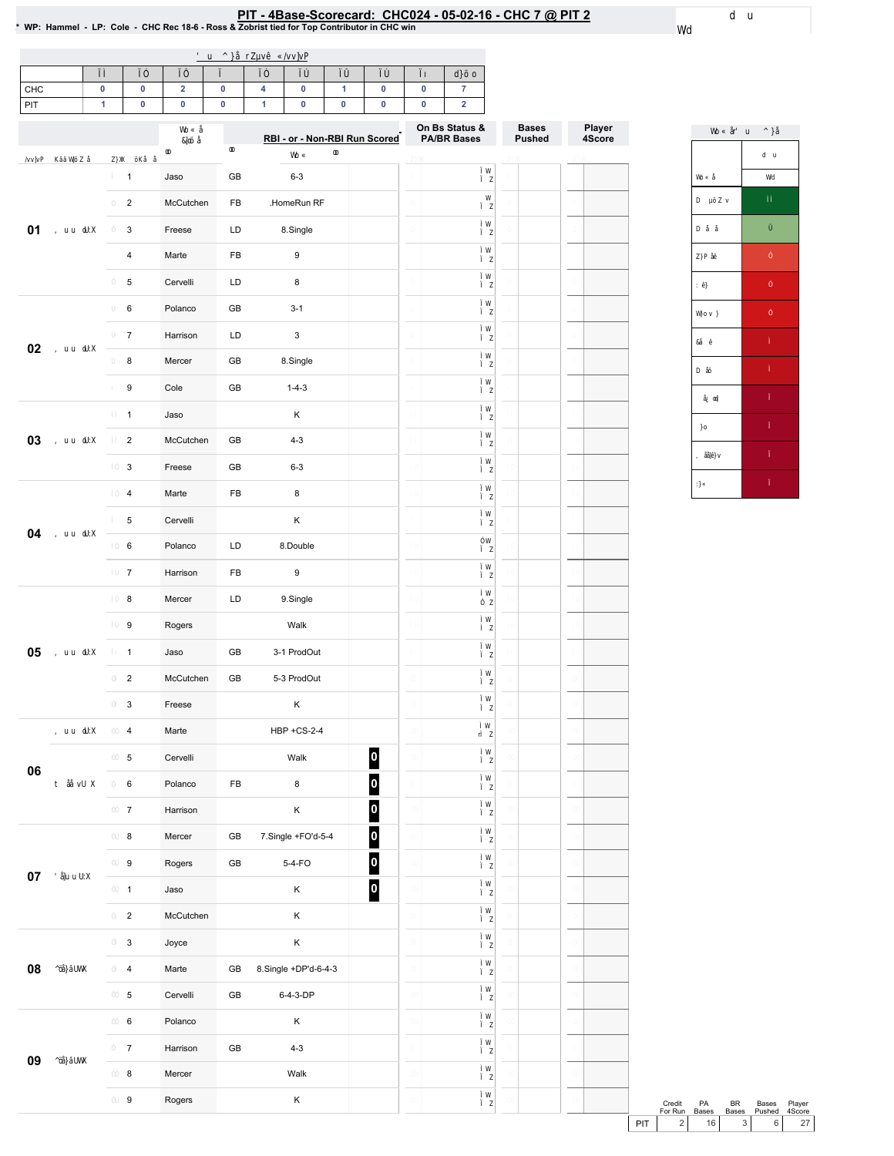## PIT - 4Base-Scorecard: CHC024 - 05-02-16 - CHC 7 @ PIT 2<br>\* WP: Hammel - LP: Cole - CHC Rec 18-6 - Ross & Zobrist tied for Top Contributor in CHC win

| CHC |  |  |  |  |  |
|-----|--|--|--|--|--|
| PIT |  |  |  |  |  |

|        |                         |           |               | RBI - or - Non-RBI Run Scored                 | On Bs Status &<br><b>PA/BR Bases</b> | <b>Bases</b><br><b>Pushed</b> | Player<br>4Score |
|--------|-------------------------|-----------|---------------|-----------------------------------------------|--------------------------------------|-------------------------------|------------------|
|        | $\mathbf{1}$            | Jaso      | GB            | $6 - 3$                                       |                                      |                               |                  |
|        | $\overline{\mathbf{c}}$ | McCutchen | FB            | .HomeRun RF                                   |                                      |                               |                  |
| 01     | 3                       | Freese    | LD            | 8.Single                                      |                                      |                               |                  |
|        | 4                       | Marte     | FB            | 9                                             |                                      |                               |                  |
|        | 5                       | Cervelli  | LD            | 8                                             |                                      |                               |                  |
|        | 6                       | Polanco   | GB            | $3 - 1$                                       |                                      |                               |                  |
|        | $\overline{7}$          | Harrison  | LD            | 3                                             |                                      |                               |                  |
| 02     | 8                       | Mercer    | GB            | 8.Single                                      |                                      |                               |                  |
|        | $\boldsymbol{9}$        | Cole      | GB            | $1 - 4 - 3$                                   |                                      |                               |                  |
|        | $\mathbf{1}$            | Jaso      |               | Κ                                             |                                      |                               |                  |
| 03     | $\overline{2}$          | McCutchen | GB            | $4 - 3$                                       |                                      |                               |                  |
|        | 3                       | Freese    | GB            | $6 - 3$                                       |                                      |                               |                  |
|        | $\overline{\mathbf{4}}$ | Marte     | FB            | 8                                             |                                      |                               |                  |
|        | 5                       | Cervelli  |               | Κ                                             |                                      |                               |                  |
| 04     | $\,6\,$                 | Polanco   | LD            | 8.Double                                      |                                      |                               |                  |
|        | $\overline{7}$          | Harrison  | FB            | 9                                             |                                      |                               |                  |
|        | $\bf8$                  | Mercer    | LD            | 9.Single                                      |                                      |                               |                  |
|        | 9                       | Rogers    |               | Walk                                          |                                      |                               |                  |
| 05     | $\mathbf{1}$            | Jaso      | GB            | 3-1 ProdOut                                   |                                      |                               |                  |
|        | $\overline{2}$          | McCutchen | GB            | 5-3 ProdOut                                   |                                      |                               |                  |
|        | 3                       | Freese    |               | Κ                                             |                                      |                               |                  |
|        | 4                       | Marte     |               | <b>HBP +CS-2-4</b>                            |                                      |                               |                  |
|        | 5                       | Cervelli  |               | $\overline{\mathbf{0}}$<br>Walk               |                                      |                               |                  |
| 06     | $\,6\,$                 | Polanco   | ${\sf FB}$    | $\overline{\mathbf{0}}$<br>$\bf8$             |                                      |                               |                  |
|        | $\overline{7}$          | Harrison  |               | $\bullet$<br>Κ                                |                                      |                               |                  |
|        | $\bf 8$                 | Mercer    | ${\sf GB}$    | $\overline{\mathbf{0}}$<br>7.Single +FO'd-5-4 |                                      |                               |                  |
|        | 9                       | Rogers    | ${\sf GB}$    | $\overline{\mathbf{0}}$<br>5-4-FO             |                                      |                               |                  |
| $07\,$ | $\mathbf{1}$            | Jaso      |               | $\overline{\mathbf{0}}$<br>Κ                  |                                      |                               |                  |
|        | $\overline{2}$          | McCutchen |               | Κ                                             |                                      |                               |                  |
|        | $\mathsf 3$             | Joyce     |               | Κ                                             |                                      |                               |                  |
| 08     | $\overline{4}$          | Marte     | ${\sf GB}$    | 8.Single +DP'd-6-4-3                          |                                      |                               |                  |
|        | $\,$ 5 $\,$             | Cervelli  | $\mathsf{GB}$ | 6-4-3-DP                                      |                                      |                               |                  |
|        | $\,6\,$                 | Polanco   |               | Κ                                             |                                      |                               |                  |
| 09     | $\overline{7}$          | Harrison  | $\mathsf{GB}$ | $4 - 3$                                       |                                      |                               |                  |
|        | $\bf 8$                 | Mercer    |               | Walk                                          |                                      |                               |                  |
|        | $\boldsymbol{9}$        | Rogers    |               | Κ                                             |                                      |                               |                  |

Credit PA BR Bases Player<br>
ForRun Bases Bases Pushed 4Score<br>
PIT 2 16 3 6 27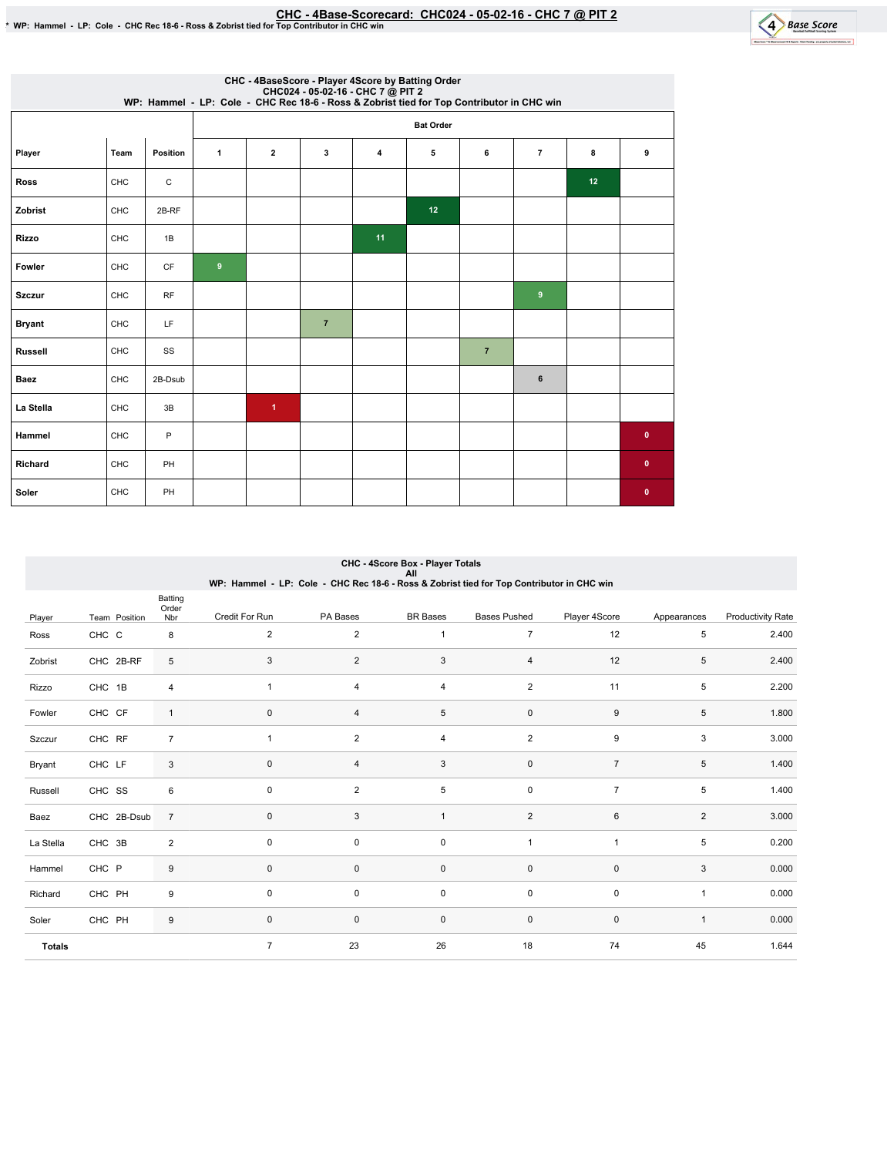

|                |      |           |              |                         |                | CHC - 4BaseScore - Player 4Score by Batting Order<br>CHC024 - 05-02-16 - CHC 7 @ PIT 2<br>WP: Hammel - LP: Cole - CHC Rec 18-6 - Ross & Zobrist tied for Top Contributor in CHC win |                  |                |                  |    |              |
|----------------|------|-----------|--------------|-------------------------|----------------|-------------------------------------------------------------------------------------------------------------------------------------------------------------------------------------|------------------|----------------|------------------|----|--------------|
|                |      |           |              |                         |                |                                                                                                                                                                                     | <b>Bat Order</b> |                |                  |    |              |
| Player         | Team | Position  | $\mathbf{1}$ | $\overline{\mathbf{2}}$ | 3              | 4                                                                                                                                                                                   | 5                | 6              | $\overline{7}$   | 8  | 9            |
| <b>Ross</b>    | CHC  | C         |              |                         |                |                                                                                                                                                                                     |                  |                |                  | 12 |              |
| Zobrist        | CHC  | 2B-RF     |              |                         |                |                                                                                                                                                                                     | 12               |                |                  |    |              |
| <b>Rizzo</b>   | CHC  | 1B        |              |                         |                | 11                                                                                                                                                                                  |                  |                |                  |    |              |
| Fowler         | CHC  | CF        | 9            |                         |                |                                                                                                                                                                                     |                  |                |                  |    |              |
| <b>Szczur</b>  | CHC  | <b>RF</b> |              |                         |                |                                                                                                                                                                                     |                  |                | $\boldsymbol{9}$ |    |              |
| <b>Bryant</b>  | CHC  | LF        |              |                         | $\overline{7}$ |                                                                                                                                                                                     |                  |                |                  |    |              |
| <b>Russell</b> | CHC  | SS        |              |                         |                |                                                                                                                                                                                     |                  | $\overline{7}$ |                  |    |              |
| <b>Baez</b>    | CHC  | 2B-Dsub   |              |                         |                |                                                                                                                                                                                     |                  |                | 6                |    |              |
| La Stella      | CHC  | 3B        |              | $\blacktriangleleft$    |                |                                                                                                                                                                                     |                  |                |                  |    |              |
| Hammel         | CHC  | P         |              |                         |                |                                                                                                                                                                                     |                  |                |                  |    | $\bullet$    |
| Richard        | CHC  | PH        |              |                         |                |                                                                                                                                                                                     |                  |                |                  |    | $\bullet$    |
| Soler          | CHC  | PH        |              |                         |                |                                                                                                                                                                                     |                  |                |                  |    | $\mathbf{0}$ |

|               |               |                         | WP: Hammel - LP: Cole - CHC Rec 18-6 - Ross & Zobrist tied for Top Contributor in CHC win |                | CHC - 4Score Box - Player Totals<br>All |                     |                |                |                          |
|---------------|---------------|-------------------------|-------------------------------------------------------------------------------------------|----------------|-----------------------------------------|---------------------|----------------|----------------|--------------------------|
| Player        | Team Position | Batting<br>Order<br>Nbr | Credit For Run                                                                            | PA Bases       | <b>BR</b> Bases                         | <b>Bases Pushed</b> | Player 4Score  | Appearances    | <b>Productivity Rate</b> |
| Ross          | CHC C         | 8                       | $\overline{c}$                                                                            | $\overline{2}$ | $\mathbf{1}$                            | $\overline{7}$      | 12             | 5              | 2.400                    |
| Zobrist       | CHC 2B-RF     | 5                       | 3                                                                                         | $\overline{2}$ | 3                                       | $\overline{4}$      | 12             | 5              | 2.400                    |
| Rizzo         | CHC 1B        | 4                       | $\mathbf{1}$                                                                              | 4              | 4                                       | $\overline{2}$      | 11             | 5              | 2.200                    |
| Fowler        | CHC CF        | $\mathbf{1}$            | 0                                                                                         | 4              | 5                                       | $\mathbf 0$         | 9              | 5              | 1.800                    |
| Szczur        | CHC RF        | $\overline{7}$          | $\mathbf{1}$                                                                              | $\overline{2}$ | 4                                       | $\overline{2}$      | 9              | 3              | 3.000                    |
| Bryant        | CHC LF        | 3                       | $\pmb{0}$                                                                                 | 4              | 3                                       | $\mathsf 0$         | $\overline{7}$ | 5              | 1.400                    |
| Russell       | CHC SS        | 6                       | $\pmb{0}$                                                                                 | $\overline{2}$ | 5                                       | $\pmb{0}$           | $\overline{7}$ | 5              | 1.400                    |
| Baez          | CHC 2B-Dsub   | $\overline{7}$          | $\pmb{0}$                                                                                 | 3              | $\mathbf{1}$                            | $\overline{2}$      | $\,6\,$        | $\overline{a}$ | 3.000                    |
| La Stella     | CHC 3B        | $\overline{2}$          | $\mathbf 0$                                                                               | 0              | 0                                       | $\overline{1}$      | $\overline{1}$ | 5              | 0.200                    |
| Hammel        | CHC P         | 9                       | 0                                                                                         | 0              | $\mathbf 0$                             | $\mathbf 0$         | $\mathbf 0$    | 3              | 0.000                    |
| Richard       | CHC PH        | 9                       | $\mathbf 0$                                                                               | 0              | $\mathsf 0$                             | $\mathsf 0$         | $\pmb{0}$      | $\mathbf{1}$   | 0.000                    |
| Soler         | CHC PH        | 9                       | $\pmb{0}$                                                                                 | 0              | $\pmb{0}$                               | $\pmb{0}$           | $\pmb{0}$      | $\mathbf{1}$   | 0.000                    |
| <b>Totals</b> |               |                         | $\overline{7}$                                                                            | 23             | 26                                      | 18                  | 74             | 45             | 1.644                    |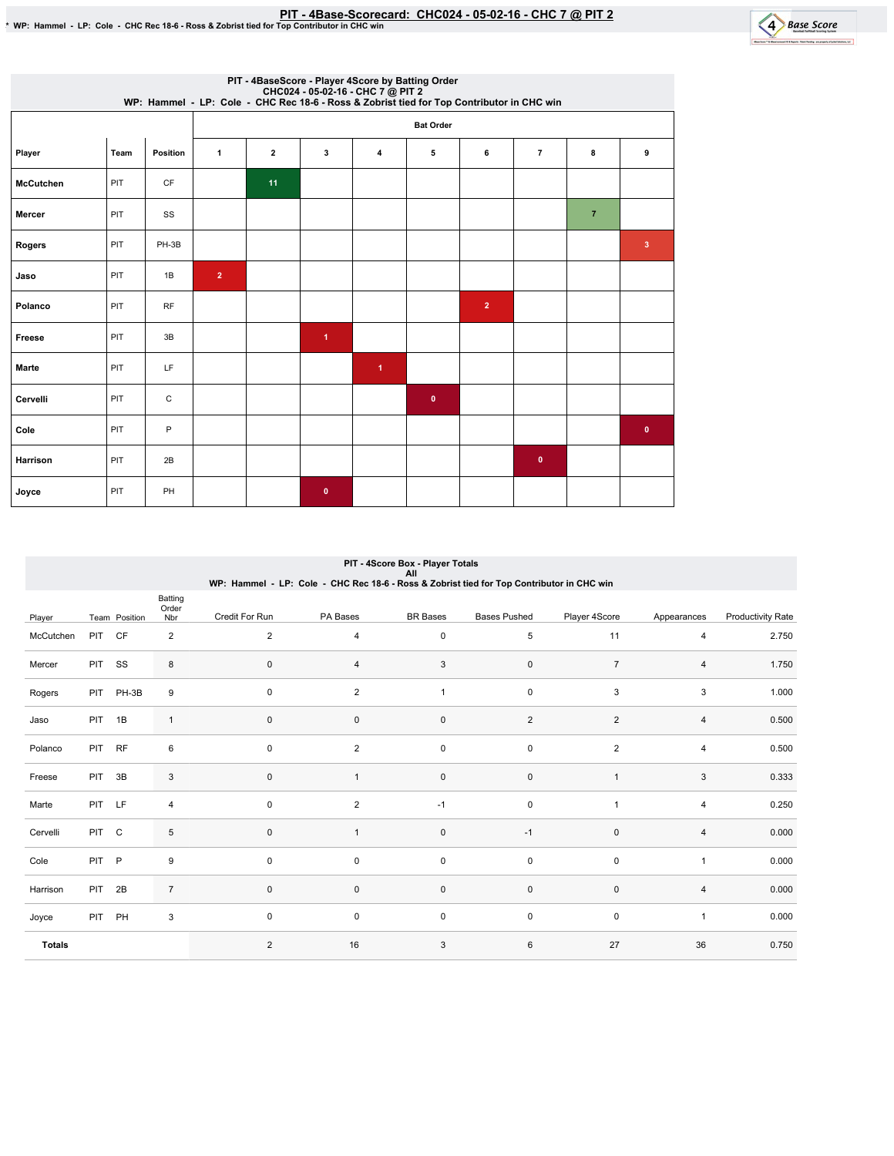

|                  |      |             |                | PIT - 4BaseScore - Player 4Score by Batting Order<br>CHC024 - 05-02-16 - CHC 7 @ PIT 2<br>WP: Hammel - LP: Cole - CHC Rec 18-6 - Ross & Zobrist tied for Top Contributor in CHC win |                      |                      |           |                |                |                |                         |  |  |
|------------------|------|-------------|----------------|-------------------------------------------------------------------------------------------------------------------------------------------------------------------------------------|----------------------|----------------------|-----------|----------------|----------------|----------------|-------------------------|--|--|
|                  |      |             |                | <b>Bat Order</b>                                                                                                                                                                    |                      |                      |           |                |                |                |                         |  |  |
| Player           | Team | Position    | $\mathbf{1}$   | $\overline{\mathbf{2}}$                                                                                                                                                             | 3                    | 4                    | 5         | 6              | $\overline{7}$ | 8              | 9                       |  |  |
| <b>McCutchen</b> | PIT  | CF          |                | 11                                                                                                                                                                                  |                      |                      |           |                |                |                |                         |  |  |
| Mercer           | PIT  | SS          |                |                                                                                                                                                                                     |                      |                      |           |                |                | $\overline{7}$ |                         |  |  |
| Rogers           | PIT  | PH-3B       |                |                                                                                                                                                                                     |                      |                      |           |                |                |                | $\overline{\mathbf{3}}$ |  |  |
| Jaso             | PIT  | 1B          | $\overline{2}$ |                                                                                                                                                                                     |                      |                      |           |                |                |                |                         |  |  |
| Polanco          | PIT  | <b>RF</b>   |                |                                                                                                                                                                                     |                      |                      |           | $\overline{2}$ |                |                |                         |  |  |
| Freese           | PIT  | 3B          |                |                                                                                                                                                                                     | $\blacktriangleleft$ |                      |           |                |                |                |                         |  |  |
| <b>Marte</b>     | PIT  | LF          |                |                                                                                                                                                                                     |                      | $\blacktriangleleft$ |           |                |                |                |                         |  |  |
| Cervelli         | PIT  | $\mathsf C$ |                |                                                                                                                                                                                     |                      |                      | $\bullet$ |                |                |                |                         |  |  |
| Cole             | PIT  | P           |                |                                                                                                                                                                                     |                      |                      |           |                |                |                | $\pmb{0}$               |  |  |
| Harrison         | PIT  | 2B          |                |                                                                                                                                                                                     |                      |                      |           |                | $\bullet$      |                |                         |  |  |
| Joyce            | PIT  | PH          |                |                                                                                                                                                                                     | $\bullet$            |                      |           |                |                |                |                         |  |  |

|               |            |               |                         |                | WP: Hammel - LP: Cole - CHC Rec 18-6 - Ross & Zobrist tied for Top Contributor in CHC win | PIT - 4Score Box - Player Totals<br>All |                     |                |                |                          |
|---------------|------------|---------------|-------------------------|----------------|-------------------------------------------------------------------------------------------|-----------------------------------------|---------------------|----------------|----------------|--------------------------|
| Player        |            | Team Position | Batting<br>Order<br>Nbr | Credit For Run | PA Bases                                                                                  | <b>BR</b> Bases                         | <b>Bases Pushed</b> | Player 4Score  | Appearances    | <b>Productivity Rate</b> |
| McCutchen     | <b>PIT</b> | <b>CF</b>     | $\overline{2}$          | 2              | 4                                                                                         | $\pmb{0}$                               | 5                   | 11             | $\overline{4}$ | 2.750                    |
| Mercer        | <b>PIT</b> | SS            | 8                       | $\mathbf 0$    | 4                                                                                         | 3                                       | 0                   | $\overline{7}$ | 4              | 1.750                    |
| Rogers        | PIT        | PH-3B         | 9                       | $\mathbf 0$    | $\overline{2}$                                                                            | $\mathbf{1}$                            | 0                   | 3              | 3              | 1.000                    |
| Jaso          | <b>PIT</b> | 1B            | $\mathbf{1}$            | $\mathbf 0$    | $\mathbf{0}$                                                                              | $\mathbf 0$                             | $\sqrt{2}$          | $\overline{2}$ | $\overline{4}$ | 0.500                    |
| Polanco       | <b>PIT</b> | <b>RF</b>     | 6                       | $\mathbf 0$    | $\overline{c}$                                                                            | 0                                       | 0                   | $\overline{2}$ | 4              | 0.500                    |
| Freese        | PIT        | 3B            | 3                       | $\mathbf 0$    | 1                                                                                         | $\mathbf 0$                             | 0                   | $\overline{1}$ | 3              | 0.333                    |
| Marte         | PIT LF     |               | $\overline{4}$          | $\mathbf 0$    | $\overline{2}$                                                                            | $-1$                                    | 0                   | $\overline{1}$ | $\overline{4}$ | 0.250                    |
| Cervelli      | <b>PIT</b> | C             | 5                       | $\mathbf 0$    | 1                                                                                         | $\mathbf 0$                             | $-1$                | $\mathbf 0$    | 4              | 0.000                    |
| Cole          | <b>PIT</b> | $\mathsf{P}$  | 9                       | $\mathbf 0$    | 0                                                                                         | 0                                       | 0                   | 0              | $\mathbf{1}$   | 0.000                    |
| Harrison      | <b>PIT</b> | 2B            | $\overline{7}$          | $\mathbf 0$    | $\mathsf 0$                                                                               | $\mathsf 0$                             | $\pmb{0}$           | $\mathbf 0$    | 4              | 0.000                    |
| Joyce         | PIT        | PH            | $\mathbf{3}$            | $\mathbf 0$    | 0                                                                                         | $\pmb{0}$                               | 0                   | $\pmb{0}$      | $\mathbf{1}$   | 0.000                    |
| <b>Totals</b> |            |               |                         | 2              | 16                                                                                        | 3                                       | 6                   | 27             | 36             | 0.750                    |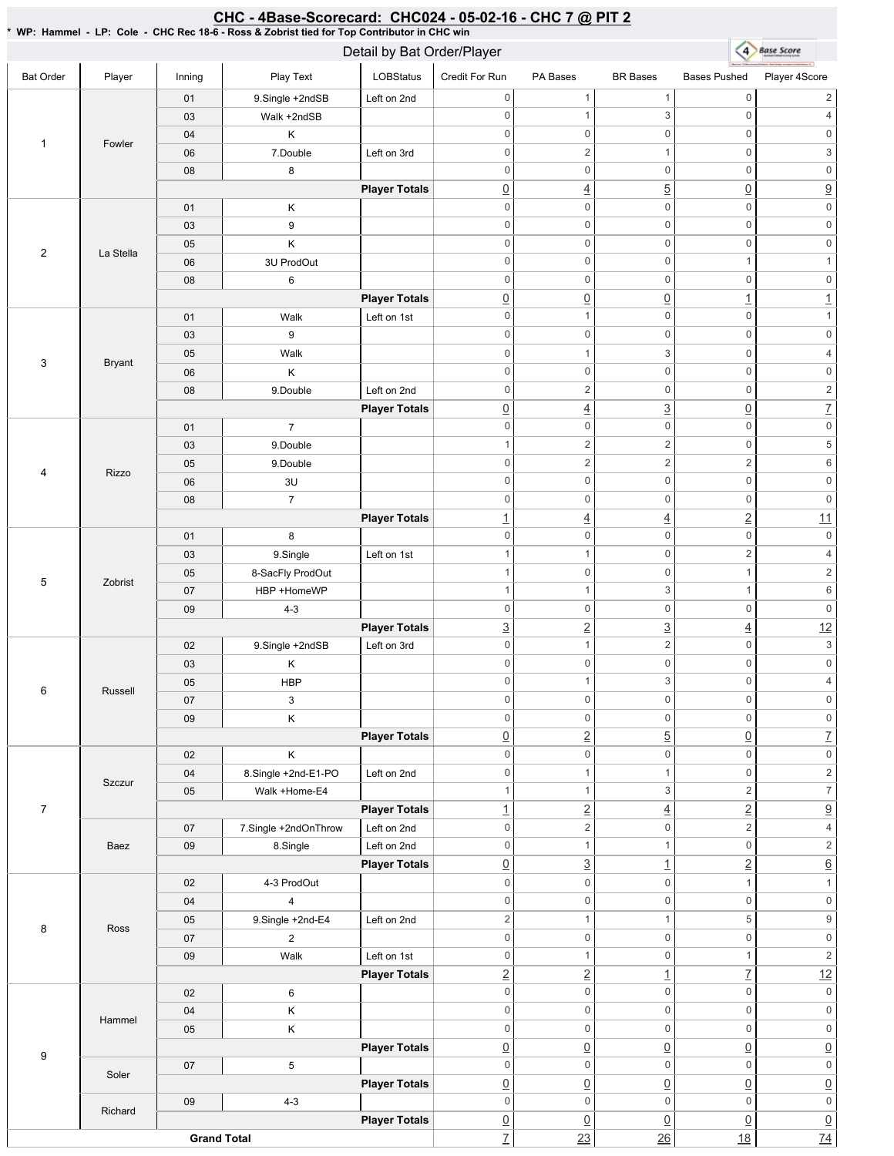## 4 Base Score Detail by Bat Order/Player Bat Order | Player | Inning | PlayText | LOBStatus Credit For Run PA Bases BR Bases Bases Pushed Player 4Score 01 9.Single +2ndSB Left on 2nd 0 1 1 0 2 03 | Walk +2ndSB 0 1 3 0 4 04 K 0 0 0 0 0 0 1 Fowler 06 | 7.Double | Left on 3rd 0 2 1 0 3 08 8 0 0 0 0 0 0 **Player Totals** 0 4 5 0 9 01 K 0 0 0 0 0 0 03 9 0 0 0 0 0 0 05 K 0 0 0 0 0 0 2 | La Stella 06 3U ProdOut  $0 \qquad 0 \qquad 0 \qquad 1 \qquad 1$ 08 6 0 0 0 0 0 0 **Player Totals**  $\boxed{0}$   $\boxed{0}$   $\boxed{1}$   $\boxed{1}$ 01 | Walk Left on 1st 0 0 1 0 1 03 9 0 0 0 0 0 0 05 | Walk 0 1 3 0 4 3 Bryant 06 K 0 0 0 0 0 0 08 9.Double Left on 2nd 0 0 2 0 2 **Player Totals**  $\boxed{0}$  4  $\boxed{3}$   $\boxed{0}$  7 0 0 0 0 0 0 01 7 03 9.Double 1 2 2 0 5 05 9.Double 0 2  $2$  2 6 4 Rizzo 06 3U 0 0 0 0 0 0 08 7 0 0 0 0 0 0 **Player Totals** 1  $\frac{1}{2}$   $\frac{11}{2}$ 0 0 0 0 0 0 01 8 03 9.Single Left on 1st 1 1 0 2 4 05 | 8-SacFly ProdOut 1 0 0 1 2 5 Zobrist 07 | HBP +HomeWP 1  $1$  3 1 6 09 4-3 0 0 0 0 0 0 **Player Totals**  $\frac{3}{2}$   $\frac{3}{4}$   $\frac{12}{2}$ 02 9.Single +2ndSB Left on 3rd 0 1 2 0 3 0 0 0 0 0 0 03 K 05 **HBP** 0 1 3 0 4 6 Russell 07 3 0 0 0 0 0 0 09 K 0 0 0 0 0 0 **Player Totals**  $\boxed{0}$  2 5  $\boxed{0}$  7 02 K 0 0 0 0 0 0 04 8.Single +2nd-E1-PO Left on 2nd 0 1 1 0 2 **Szczur** 05 Walk+Home-E4 1 1 3 2 7 7 **Player Totals**  $\frac{1}{2}$   $\frac{4}{2}$   $\frac{2}{2}$   $\frac{9}{2}$ 07 | 7.Single +2ndOnThrow | Left on 2nd  $0 \qquad \qquad 2 \qquad \qquad 0 \qquad \qquad 2 \qquad \qquad 4$ Baez 09 | 8.Single | Left on 2nd 0 1 1 0 2 **Player Totals**  $\boxed{0}$   $\boxed{3}$   $\boxed{1}$   $\boxed{2}$   $\boxed{6}$ 02 4-3 ProdOut  $0 \qquad 0 \qquad 0 \qquad 1 \qquad 1$ 0 0 0 0 0 0 04 4 05 9.Single +2nd-E4 Left on 2nd 2 1 1 5 9 8 Ross 0 0 0 0 0 0 07 2 09 | Walk Left on 1st 0 1 0 1 2 **Player Totals** 2 2 1 7 12 0 0 0 0 0 0 02 6 0 0 0 0 0 0 04 K Hammel 05 K 0 0 0 0 0 0 **Player Totals**  $\overline{0}$   $\overline{0}$   $\overline{0}$   $\overline{0}$   $\overline{0}$   $\overline{0}$   $\overline{0}$ 9 0 0 0 0 0 0 07 5 Soler **Player Totals**  $\overline{0}$   $\overline{0}$   $\overline{0}$   $\overline{0}$   $\overline{0}$   $\overline{0}$   $\overline{0}$ 09 4-3 0 0 0 0 0 0 Richard **Player Totals**  $\overline{0}$   $\overline{0}$   $\overline{0}$   $\overline{0}$   $\overline{0}$   $\overline{0}$   $\overline{0}$ **Grand Total** <u>7</u> 23 26 18 274

## <u>CHC - 4Base-Scorecard: CHC024 - 05-02-16 - CHC 7 @ PIT 2</u>

\* WP: Hammel -LP: Cole -CHC Rec 18-6 - Ross & Zobrist tied for Top Contributor in CHC win